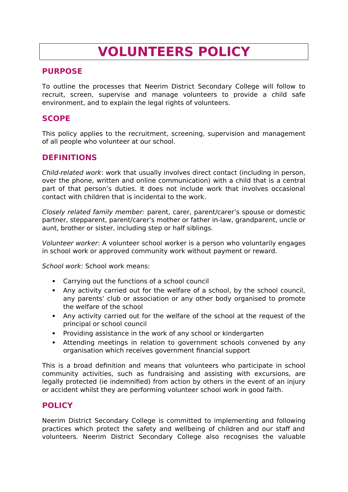# **VOLUNTEERS POLICY**

## **PURPOSE**

To outline the processes that Neerim District Secondary College will follow to recruit, screen, supervise and manage volunteers to provide a child safe environment, and to explain the legal rights of volunteers.

# **SCOPE**

This policy applies to the recruitment, screening, supervision and management of all people who volunteer at our school.

# **DEFINITIONS**

Child-related work: work that usually involves direct contact (including in person, over the phone, written and online communication) with a child that is a central part of that person's duties. It does not include work that involves occasional contact with children that is incidental to the work.

Closely related family member: parent, carer, parent/carer's spouse or domestic partner, stepparent, parent/carer's mother or father in-law, grandparent, uncle or aunt, brother or sister, including step or half siblings.

Volunteer worker: A volunteer school worker is a person who voluntarily engages in school work or approved community work without payment or reward.

School work: School work means:

- Carrying out the functions of a school council
- Any activity carried out for the welfare of a school, by the school council, any parents' club or association or any other body organised to promote the welfare of the school
- Any activity carried out for the welfare of the school at the request of the principal or school council
- Providing assistance in the work of any school or kindergarten
- Attending meetings in relation to government schools convened by any organisation which receives government financial support

This is a broad definition and means that volunteers who participate in school community activities, such as fundraising and assisting with excursions, are legally protected (ie indemnified) from action by others in the event of an injury or accident whilst they are performing volunteer school work in good faith.

# **POLICY**

Neerim District Secondary College is committed to implementing and following practices which protect the safety and wellbeing of children and our staff and volunteers. Neerim District Secondary College also recognises the valuable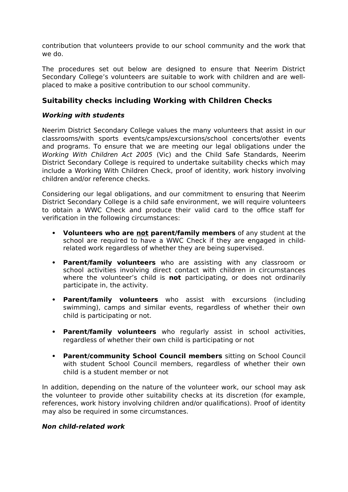contribution that volunteers provide to our school community and the work that we do.

The procedures set out below are designed to ensure that Neerim District Secondary College's volunteers are suitable to work with children and are wellplaced to make a positive contribution to our school community.

## **Suitability checks including Working with Children Checks**

#### **Working with students**

Neerim District Secondary College values the many volunteers that assist in our classrooms/with sports events/camps/excursions/school concerts/other events and programs. To ensure that we are meeting our legal obligations under the Working With Children Act 2005 (Vic) and the Child Safe Standards, Neerim District Secondary College is required to undertake suitability checks which may include a Working With Children Check, proof of identity, work history involving children and/or reference checks.

Considering our legal obligations, and our commitment to ensuring that Neerim District Secondary College is a child safe environment, we will require volunteers to obtain a WWC Check and produce their valid card to the office staff for verification in the following circumstances:

- **Volunteers who are not parent/family members** of any student at the school are required to have a WWC Check if they are engaged in childrelated work regardless of whether they are being supervised.
- **Parent/family volunteers** who are assisting with any classroom or school activities involving direct contact with children in circumstances where the volunteer's child is **not** participating, or does not ordinarily participate in, the activity.
- **Parent/family volunteers** who assist with excursions (including swimming), camps and similar events, regardless of whether their own child is participating or not.
- **Parent/family volunteers** who regularly assist in school activities, regardless of whether their own child is participating or not
- **Parent/community School Council members** sitting on School Council with student School Council members, regardless of whether their own child is a student member or not

In addition, depending on the nature of the volunteer work, our school may ask the volunteer to provide other suitability checks at its discretion (for example, references, work history involving children and/or qualifications). Proof of identity may also be required in some circumstances.

#### **Non child-related work**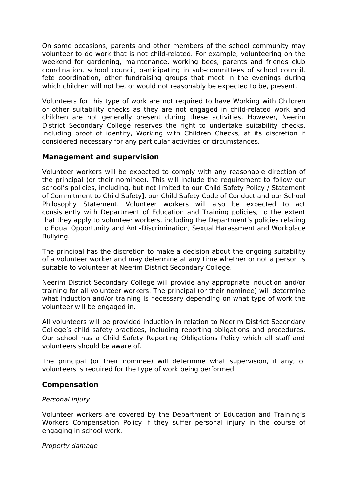On some occasions, parents and other members of the school community may volunteer to do work that is not child-related. For example, volunteering on the weekend for gardening, maintenance, working bees, parents and friends club coordination, school council, participating in sub-committees of school council, fete coordination, other fundraising groups that meet in the evenings during which children will not be, or would not reasonably be expected to be, present.

Volunteers for this type of work are not required to have Working with Children or other suitability checks as they are not engaged in child-related work and children are not generally present during these activities. However, Neerim District Secondary College reserves the right to undertake suitability checks, including proof of identity, Working with Children Checks, at its discretion if considered necessary for any particular activities or circumstances.

#### **Management and supervision**

Volunteer workers will be expected to comply with any reasonable direction of the principal (or their nominee). This will include the requirement to follow our school's policies, including, but not limited to our Child Safety Policy / Statement of Commitment to Child Safety], our Child Safety Code of Conduct and our School Philosophy Statement. Volunteer workers will also be expected to act consistently with Department of Education and Training policies, to the extent that they apply to volunteer workers, including the Department's policies relating to Equal Opportunity and Anti-Discrimination, Sexual Harassment and Workplace Bullying.

The principal has the discretion to make a decision about the ongoing suitability of a volunteer worker and may determine at any time whether or not a person is suitable to volunteer at Neerim District Secondary College.

Neerim District Secondary College will provide any appropriate induction and/or training for all volunteer workers. The principal (or their nominee) will determine what induction and/or training is necessary depending on what type of work the volunteer will be engaged in.

All volunteers will be provided induction in relation to Neerim District Secondary College's child safety practices, including reporting obligations and procedures. Our school has a Child Safety Reporting Obligations Policy which all staff and volunteers should be aware of.

The principal (or their nominee) will determine what supervision, if any, of volunteers is required for the type of work being performed.

### **Compensation**

#### Personal injury

Volunteer workers are covered by the Department of Education and Training's Workers Compensation Policy if they suffer personal injury in the course of engaging in school work.

#### Property damage